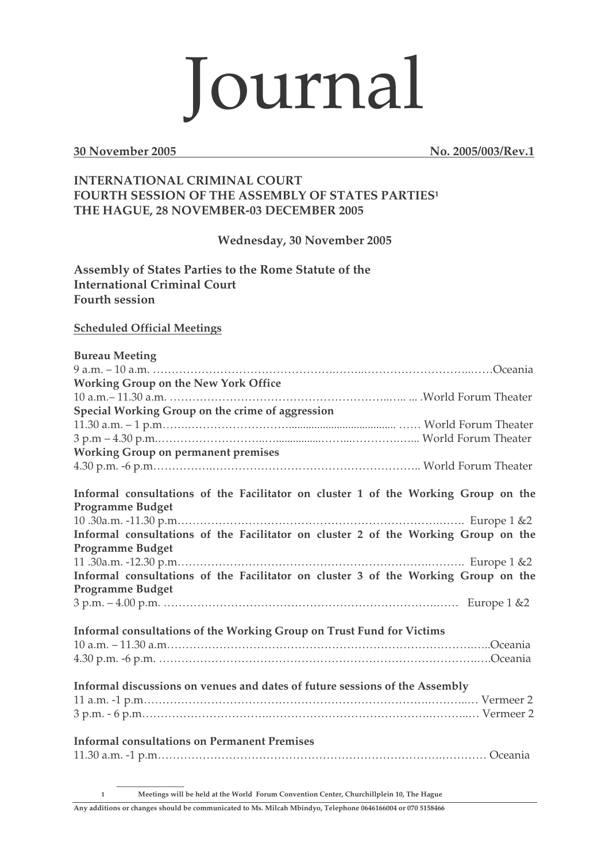## Journal

**30 November 2005 No. 2005/003/Rev.1**

## **INTERNATIONAL CRIMINAL COURT FOURTH SESSION OF THE ASSEMBLY OF STATES PARTIES<sup>1</sup> THE HAGUE, 28 NOVEMBER-03 DECEMBER 2005**

**Wednesday, 30 November 2005**

**Assembly of States Parties to the Rome Statute of the International Criminal Court Fourth session**

## **Scheduled Official Meetings**

**\_\_\_\_\_\_\_\_\_\_\_\_**

| <b>Bureau Meeting</b>                                                              |
|------------------------------------------------------------------------------------|
|                                                                                    |
| <b>Working Group on the New York Office</b>                                        |
|                                                                                    |
| Special Working Group on the crime of aggression                                   |
|                                                                                    |
|                                                                                    |
| <b>Working Group on permanent premises</b>                                         |
|                                                                                    |
| Informal consultations of the Facilitator on cluster 1 of the Working Group on the |
| <b>Programme Budget</b>                                                            |
|                                                                                    |
| Informal consultations of the Facilitator on cluster 2 of the Working Group on the |
| <b>Programme Budget</b>                                                            |
|                                                                                    |
| Informal consultations of the Facilitator on cluster 3 of the Working Group on the |
| <b>Programme Budget</b>                                                            |
|                                                                                    |
| Informal consultations of the Working Group on Trust Fund for Victims              |
|                                                                                    |
|                                                                                    |
| Informal discussions on venues and dates of future sessions of the Assembly        |
|                                                                                    |
|                                                                                    |
| <b>Informal consultations on Permanent Premises</b>                                |

**1 Meetings will be held at the World Forum Convention Center, Churchillplein 10, The Hague**